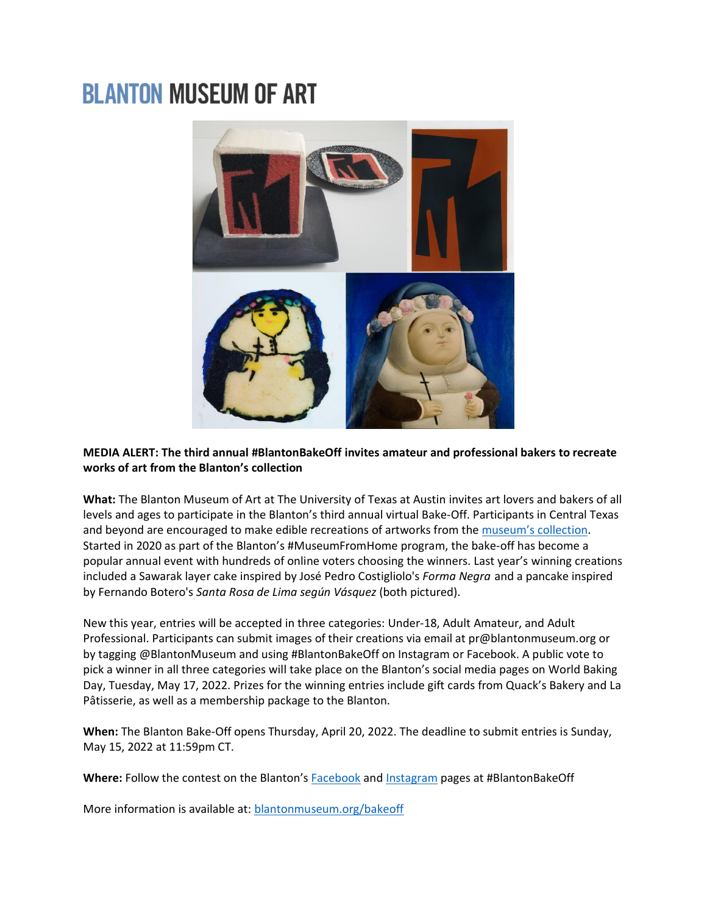## **BLANTON MUSEUM OF ART**



## **MEDIA ALERT: The third annual #BlantonBakeOff invites amateur and professional bakers to recreate works of art from the Blanton's collection**

**What:** The Blanton Museum of Art at The University of Texas at Austin invites art lovers and bakers of all levels and ages to participate in the Blanton's third annual virtual Bake-Off. Participants in Central Texas and beyond are encouraged to make edible recreations of artworks from the [museum's collection](https://collection.blantonmuseum.org/?_ga=2.111631815.2118136225.1648562771-463780228.1648562771). Started in 2020 as part of the Blanton's #MuseumFromHome program, the bake-off has become a popular annual event with hundreds of online voters choosing the winners. Last year's winning creations included a Sawarak layer cake inspired by José Pedro Costigliolo's *Forma Negra* and a pancake inspired by Fernando Botero's *Santa Rosa de Lima según Vásquez* (both pictured).

New this year, entries will be accepted in three categories: Under-18, Adult Amateur, and Adult Professional. Participants can submit images of their creations via email at pr@blantonmuseum.org or by tagging @BlantonMuseum and using #BlantonBakeOff on Instagram or Facebook. A public vote to pick a winner in all three categories will take place on the Blanton's social media pages on World Baking Day, Tuesday, May 17, 2022. Prizes for the winning entries include gift cards from Quack's Bakery and La Pâtisserie, as well as a membership package to the Blanton.

**When:** The Blanton Bake-Off opens Thursday, April 20, 2022. The deadline to submit entries is Sunday, May 15, 2022 at 11:59pm CT.

**Where:** Follow the contest on the Blanton's [Facebook](https://www.facebook.com/blantonmuseumofart) and [Instagram](https://www.instagram.com/blantonmuseum/?hl=en) pages at #BlantonBakeOff

More information is available at: [blantonmuseum.org/bakeoff](http://blantonmuseum.org/bakeoff)